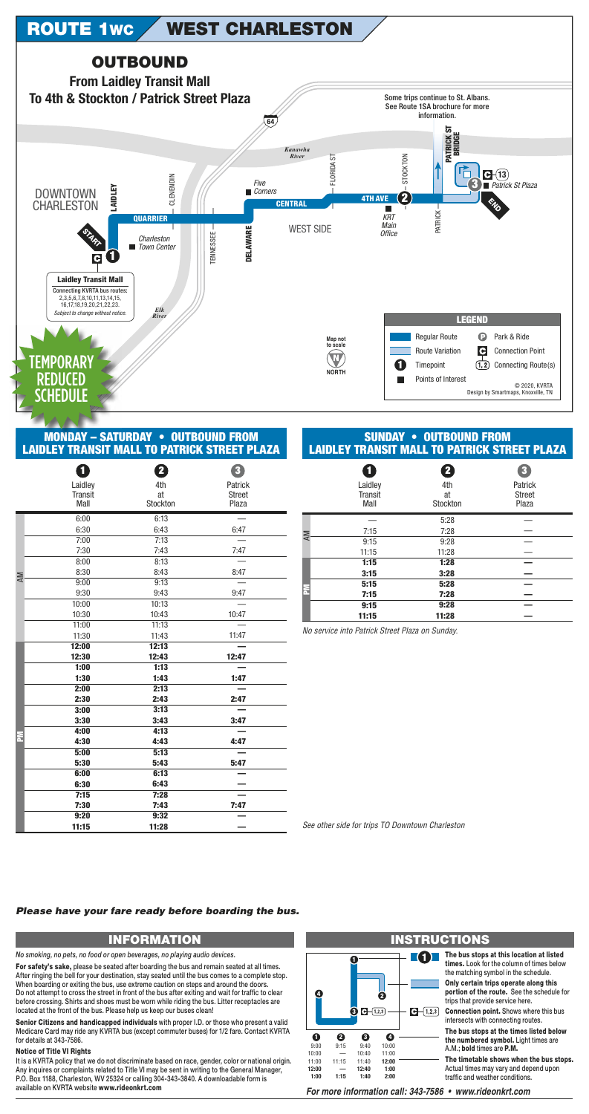

## **MONDAY - SATURDAY • OUTBOUND FROM LAIDLEY TRANSIT MALL TO PATRICK STREET PLAZA**

|    | 0<br>Laidley<br><b>Transit</b><br>Mall | 2<br>4th<br>at<br>Stockton | 3<br>Patrick<br><b>Street</b><br>Plaza |
|----|----------------------------------------|----------------------------|----------------------------------------|
|    | 6:00                                   | 6:13                       |                                        |
|    | 6:30                                   | 6:43                       | 6:47                                   |
|    | 7:00                                   | 7:13                       |                                        |
|    | 7:30                                   | 7:43                       | 7:47                                   |
|    | 8:00                                   | 8:13                       |                                        |
| AM | 8:30                                   | 8:43                       | 8:47                                   |
|    | 9:00                                   | 9:13                       |                                        |
|    | 9:30                                   | 9:43                       | 9:47                                   |
|    | 10:00                                  | 10:13                      |                                        |
|    | 10:30                                  | 10:43                      | 10:47                                  |
|    | 11:00                                  | 11:13                      |                                        |
|    | 11:30                                  | 11:43                      | 11:47                                  |
|    | 12:00                                  | 12:13                      |                                        |
|    | 12:30                                  | 12:43                      | 12:47                                  |
|    | 1:00                                   | 1:13                       |                                        |
|    | 1:30                                   | 1:43                       | 1:47                                   |
|    | 2:00                                   | 2:13                       |                                        |
|    | 2:30                                   | 2:43                       | 2:47                                   |
|    | 3:00                                   | 3:13                       |                                        |
|    | 3:30                                   | 3:43                       | 3:47                                   |
|    | 4:00                                   | 4:13                       |                                        |
| F  | 4:30                                   | 4:43                       | 4:47                                   |
|    | 5:00                                   | 5:13                       |                                        |
|    | 5:30                                   | 5:43                       | 5:47                                   |
|    | 6:00                                   | 6:13                       |                                        |
|    | 6:30                                   | 6:43                       |                                        |
|    | 7:15                                   | 7:28                       |                                        |
|    | 7:30                                   | 7:43                       | 7:47                                   |
|    | 9:20                                   | 9:32                       |                                        |
|    | 11:15                                  | 11:28                      |                                        |

### **SUNDAY • OUTBOUND FROM LAIDLEY TRANSIT MALL TO PATRICK STREET PLAZA**

|                | 0                                 | 2                     | $\mathbf{3}$                      |
|----------------|-----------------------------------|-----------------------|-----------------------------------|
|                | Laidley<br><b>Transit</b><br>Mall | 4th<br>at<br>Stockton | Patrick<br><b>Street</b><br>Plaza |
|                |                                   | 5:28                  |                                   |
|                | 7:15                              | 7:28                  |                                   |
| $\overline{M}$ | 9:15                              | 9:28                  |                                   |
|                | 11:15                             | 11:28                 |                                   |
|                | 1:15                              | 1:28                  |                                   |
|                | 3:15                              | 3:28                  |                                   |
|                | 5:15                              | 5:28                  |                                   |
|                | 7:15                              | 7:28                  |                                   |
|                | 9:15                              | 9:28                  |                                   |
|                | 11:15                             | 11:28                 |                                   |

No service into Patrick Street Plaza on Sunday.

See other side for trips TO Downtown Charleston

#### Please have your fare ready before boarding the bus.

## **INFORMATION**

No smoking, no pets, no food or open beverages, no playing audio devices.

For safety's sake, please be seated after boarding the bus and remain seated at all times. After ringing the bell for your destination, stay seated until the bus comes to a complete stop. When boarding or exiting the bus, use extreme caution on steps and around the doors. Do not attempt to cross the street in front of the bus after exiting and wait for traffic to clear before crossing. Shirts and shoes must be worn while riding the bus. Litter receptacles are located at the front of the bus. Please help us keep our buses clean!

Senior Citizens and handicapped individuals with proper I.D. or those who present a valid Medicare Card may ride any KVRTA bus (except commuter buses) for 1/2 fare. Contact KVRTA for details at 343-7586.

#### **Notice of Title VI Rights**

It is a KVRTA policy that we do not discriminate based on race, gender, color or national origin. Any inquires or complaints related to Title VI may be sent in writing to the General Manager, P.O. Box 1188, Charleston, WV 25324 or calling 304-343-3840. A downloadable form is available on KVRTA website www.rideonkrt.com



## **INSTRUCTIONS**

The bus stops at this location at listed times. Look for the column of times below the matching symbol in the schedule.

Only certain trips operate along this portion of the route. See the schedule for trips that provide service here.

**Connection point.** Shows where this bus intersects with connecting routes.

The bus stops at the times listed below the numbered symbol. Light times are A.M.; bold times are P.M.

The timetable shows when the bus stops. Actual times may vary and depend upon traffic and weather conditions.

For more information call: 343-7586 • www.rideonkrt.com